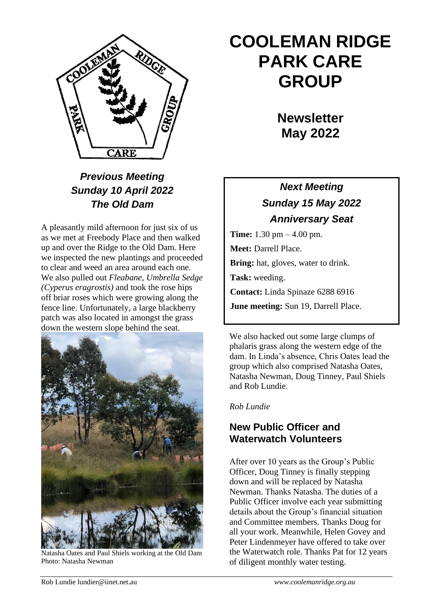

# *Previous Meeting Sunday 10 April 2022 The Old Dam*

A pleasantly mild afternoon for just six of us as we met at Freebody Place and then walked up and over the Ridge to the Old Dam. Here we inspected the new plantings and proceeded to clear and weed an area around each one. We also pulled out *Fleabane, Umbrella Sedge (Cyperus eragrostis)* and took the rose hips off briar roses which were growing along the fence line. Unfortunately, a large blackberry patch was also located in amongst the grass down the western slope behind the seat.



Natasha Oates and Paul Shiels working at the Old Dam Photo: Natasha Newman

# **COOLEMAN RIDGE PARK CARE GROUP**

**Newsletter May 2022** 

# *Next Meeting Sunday 15 May 2022 Anniversary Seat*

**Time:** 1.30 pm – 4.00 pm. **Meet:** Darrell Place. **Bring:** hat, gloves, water to drink. **Task:** weeding. **Contact:** Linda Spinaze 6288 6916 **June meeting:** Sun 19, Darrell Place.

We also hacked out some large clumps of phalaris grass along the western edge of the dam. In Linda's absence, Chris Oates lead the group which also comprised Natasha Oates, Natasha Newman, Doug Tinney, Paul Shiels and Rob Lundie.

*Rob Lundie*

# **New Public Officer and Waterwatch Volunteers**

After over 10 years as the Group's Public Officer, Doug Tinney is finally stepping down and will be replaced by Natasha Newman. Thanks Natasha. The duties of a Public Officer involve each year submitting details about the Group's financial situation and Committee members. Thanks Doug for all your work. Meanwhile, Helen Govey and Peter Lindenmeyer have offered to take over the Waterwatch role. Thanks Pat for 12 years of diligent monthly water testing.